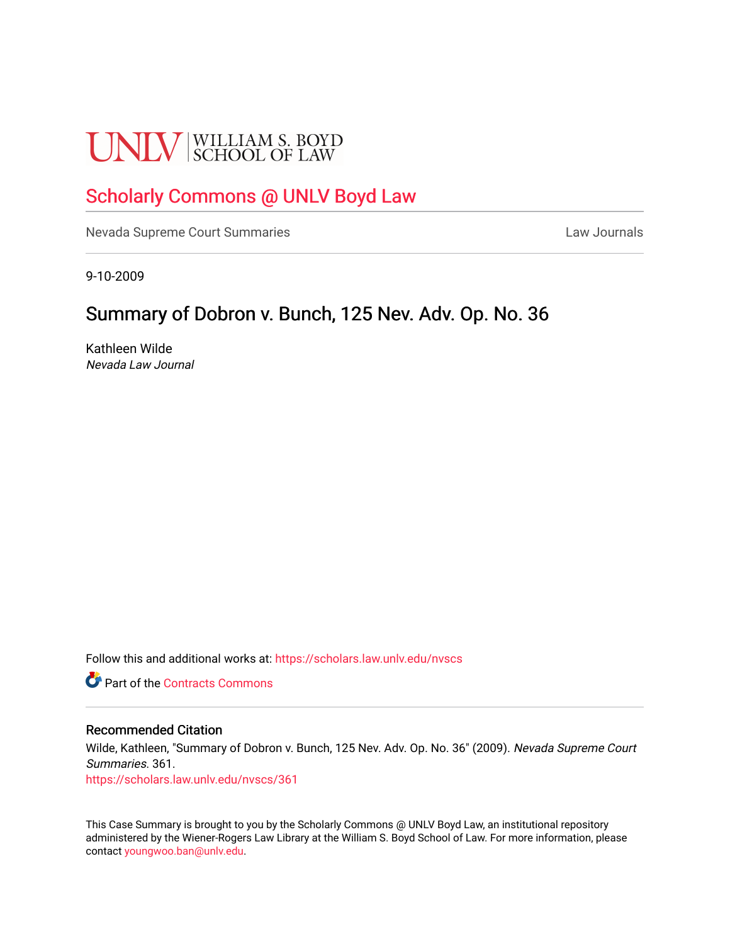# **UNLV** SCHOOL OF LAW

# [Scholarly Commons @ UNLV Boyd Law](https://scholars.law.unlv.edu/)

[Nevada Supreme Court Summaries](https://scholars.law.unlv.edu/nvscs) **Law Journals** Law Journals

9-10-2009

# Summary of Dobron v. Bunch, 125 Nev. Adv. Op. No. 36

Kathleen Wilde Nevada Law Journal

Follow this and additional works at: [https://scholars.law.unlv.edu/nvscs](https://scholars.law.unlv.edu/nvscs?utm_source=scholars.law.unlv.edu%2Fnvscs%2F361&utm_medium=PDF&utm_campaign=PDFCoverPages)

**C** Part of the [Contracts Commons](http://network.bepress.com/hgg/discipline/591?utm_source=scholars.law.unlv.edu%2Fnvscs%2F361&utm_medium=PDF&utm_campaign=PDFCoverPages)

#### Recommended Citation

Wilde, Kathleen, "Summary of Dobron v. Bunch, 125 Nev. Adv. Op. No. 36" (2009). Nevada Supreme Court Summaries. 361.

[https://scholars.law.unlv.edu/nvscs/361](https://scholars.law.unlv.edu/nvscs/361?utm_source=scholars.law.unlv.edu%2Fnvscs%2F361&utm_medium=PDF&utm_campaign=PDFCoverPages)

This Case Summary is brought to you by the Scholarly Commons @ UNLV Boyd Law, an institutional repository administered by the Wiener-Rogers Law Library at the William S. Boyd School of Law. For more information, please contact [youngwoo.ban@unlv.edu](mailto:youngwoo.ban@unlv.edu).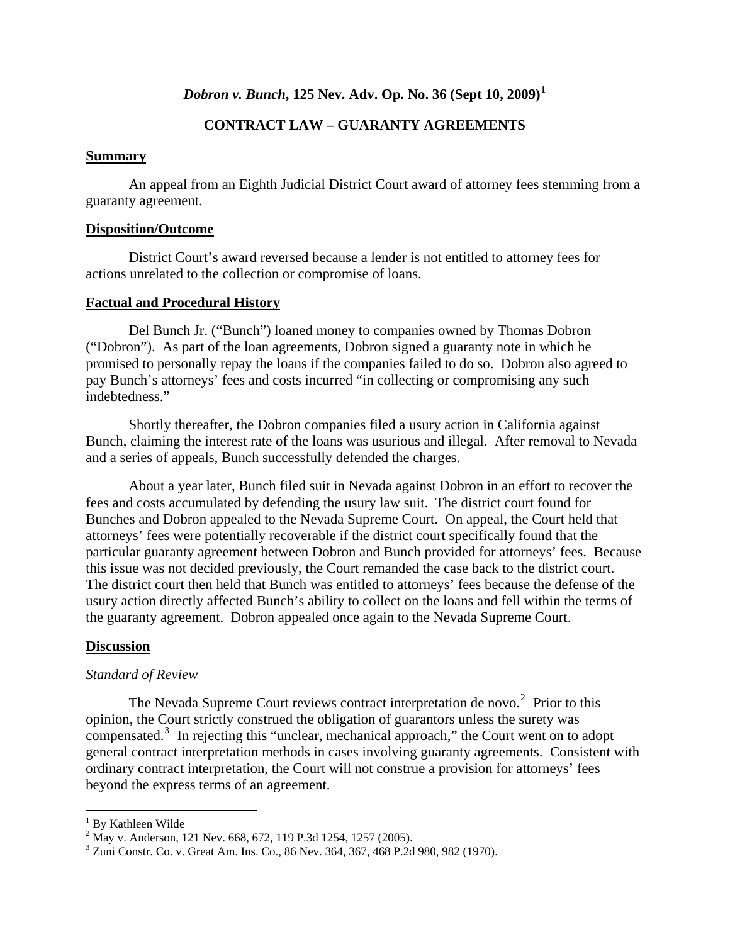# *Dobron v. Bunch***, 125 Nev. Adv. Op. No. 36 (Sept 10, 2009)[1](#page-1-0)**

# **CONTRACT LAW – GUARANTY AGREEMENTS**

#### **Summary**

 An appeal from an Eighth Judicial District Court award of attorney fees stemming from a guaranty agreement.

#### **Disposition/Outcome**

 District Court's award reversed because a lender is not entitled to attorney fees for actions unrelated to the collection or compromise of loans.

#### **Factual and Procedural History**

 Del Bunch Jr. ("Bunch") loaned money to companies owned by Thomas Dobron ("Dobron"). As part of the loan agreements, Dobron signed a guaranty note in which he promised to personally repay the loans if the companies failed to do so. Dobron also agreed to pay Bunch's attorneys' fees and costs incurred "in collecting or compromising any such indebtedness."

 Shortly thereafter, the Dobron companies filed a usury action in California against Bunch, claiming the interest rate of the loans was usurious and illegal. After removal to Nevada and a series of appeals, Bunch successfully defended the charges.

 About a year later, Bunch filed suit in Nevada against Dobron in an effort to recover the fees and costs accumulated by defending the usury law suit. The district court found for Bunches and Dobron appealed to the Nevada Supreme Court. On appeal, the Court held that attorneys' fees were potentially recoverable if the district court specifically found that the particular guaranty agreement between Dobron and Bunch provided for attorneys' fees. Because this issue was not decided previously, the Court remanded the case back to the district court. The district court then held that Bunch was entitled to attorneys' fees because the defense of the usury action directly affected Bunch's ability to collect on the loans and fell within the terms of the guaranty agreement. Dobron appealed once again to the Nevada Supreme Court.

#### **Discussion**

#### *Standard of Review*

The Nevada Supreme Court reviews contract interpretation de novo.<sup>[2](#page-1-1)</sup> Prior to this opinion, the Court strictly construed the obligation of guarantors unless the surety was compensated.<sup>[3](#page-1-2)</sup> In rejecting this "unclear, mechanical approach," the Court went on to adopt general contract interpretation methods in cases involving guaranty agreements. Consistent with ordinary contract interpretation, the Court will not construe a provision for attorneys' fees beyond the express terms of an agreement.

<span id="page-1-0"></span><sup>&</sup>lt;sup>1</sup> By Kathleen Wilde

<span id="page-1-1"></span><sup>&</sup>lt;sup>2</sup> May v. Anderson, 121 Nev. 668, 672, 119 P.3d 1254, 1257 (2005).

<span id="page-1-2"></span><sup>&</sup>lt;sup>3</sup> Zuni Constr. Co. v. Great Am. Ins. Co., 86 Nev. 364, 367, 468 P.2d 980, 982 (1970).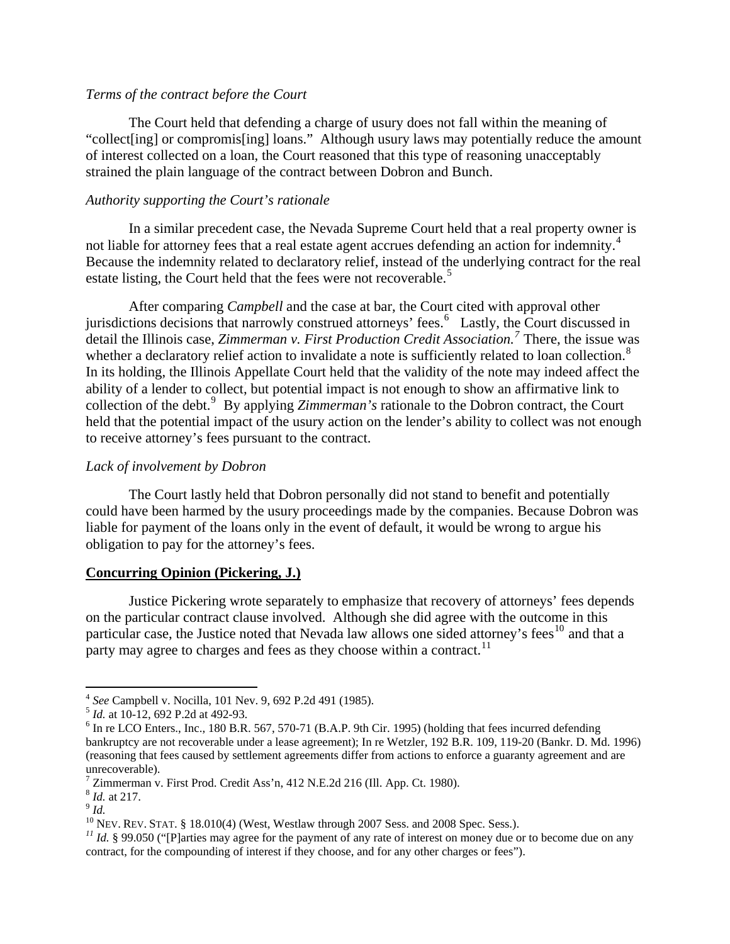# *Terms of the contract before the Court*

 The Court held that defending a charge of usury does not fall within the meaning of "collect[ing] or compromis[ing] loans." Although usury laws may potentially reduce the amount of interest collected on a loan, the Court reasoned that this type of reasoning unacceptably strained the plain language of the contract between Dobron and Bunch.

## *Authority supporting the Court's rationale*

 In a similar precedent case, the Nevada Supreme Court held that a real property owner is not liable for attorney fees that a real estate agent accrues defending an action for indemnity.<sup>[4](#page-2-0)</sup> Because the indemnity related to declaratory relief, instead of the underlying contract for the real estate listing, the Court held that the fees were not recoverable.<sup>[5](#page-2-1)</sup>

 After comparing *Campbell* and the case at bar, the Court cited with approval other jurisdictions decisions that narrowly construed attorneys' fees.<sup>[6](#page-2-2)</sup> Lastly, the Court discussed in detail the Illinois case, *Zimmerman v. First Production Credit Association.[7](#page-2-3)* There, the issue was whether a declaratory relief action to invalidate a note is sufficiently related to loan collection.<sup>[8](#page-2-4)</sup> In its holding, the Illinois Appellate Court held that the validity of the note may indeed affect the ability of a lender to collect, but potential impact is not enough to show an affirmative link to collection of the debt.<sup>[9](#page-2-5)</sup> By applying *Zimmerman's* rationale to the Dobron contract, the Court held that the potential impact of the usury action on the lender's ability to collect was not enough to receive attorney's fees pursuant to the contract.

### *Lack of involvement by Dobron*

 The Court lastly held that Dobron personally did not stand to benefit and potentially could have been harmed by the usury proceedings made by the companies. Because Dobron was liable for payment of the loans only in the event of default, it would be wrong to argue his obligation to pay for the attorney's fees.

#### **Concurring Opinion (Pickering, J.)**

 Justice Pickering wrote separately to emphasize that recovery of attorneys' fees depends on the particular contract clause involved. Although she did agree with the outcome in this particular case, the Justice noted that Nevada law allows one sided attorney's fees<sup>[10](#page-2-6)</sup> and that a party may agree to charges and fees as they choose within a contract.<sup>[11](#page-2-7)</sup>

<span id="page-2-0"></span> <sup>4</sup> *See* Campbell v. Nocilla, 101 Nev. 9, 692 P.2d 491 (1985).<br>
<sup>5</sup> *Id.* at 10-12, 692 P.2d at 492-93.<br>
<sup>6</sup> In re LCO Enters, Jpg. 180 B B 567, 570 71 (B A B 9th G

<span id="page-2-2"></span><span id="page-2-1"></span> $<sup>6</sup>$  In re LCO Enters., Inc., 180 B.R. 567, 570-71 (B.A.P. 9th Cir. 1995) (holding that fees incurred defending</sup> bankruptcy are not recoverable under a lease agreement); In re Wetzler, 192 B.R. 109, 119-20 (Bankr. D. Md. 1996) (reasoning that fees caused by settlement agreements differ from actions to enforce a guaranty agreement and are unrecoverable).

<sup>&</sup>lt;sup>7</sup> Zimmerman v. First Prod. Credit Ass'n, 412 N.E.2d 216 (Ill. App. Ct. 1980).

<span id="page-2-6"></span>

<span id="page-2-7"></span>

<span id="page-2-5"></span><span id="page-2-4"></span><span id="page-2-3"></span><sup>&</sup>lt;sup>8</sup> *Id.* at 217.<br><sup>9</sup> *Id.*<br><sup>10</sup> NEV. REV. STAT. § 18.010(4) (West, Westlaw through 2007 Sess. and 2008 Spec. Sess.).<br><sup>11</sup> *Id.* § 99.050 ("[P]arties may agree for the payment of any rate of interest on money due or to be contract, for the compounding of interest if they choose, and for any other charges or fees").